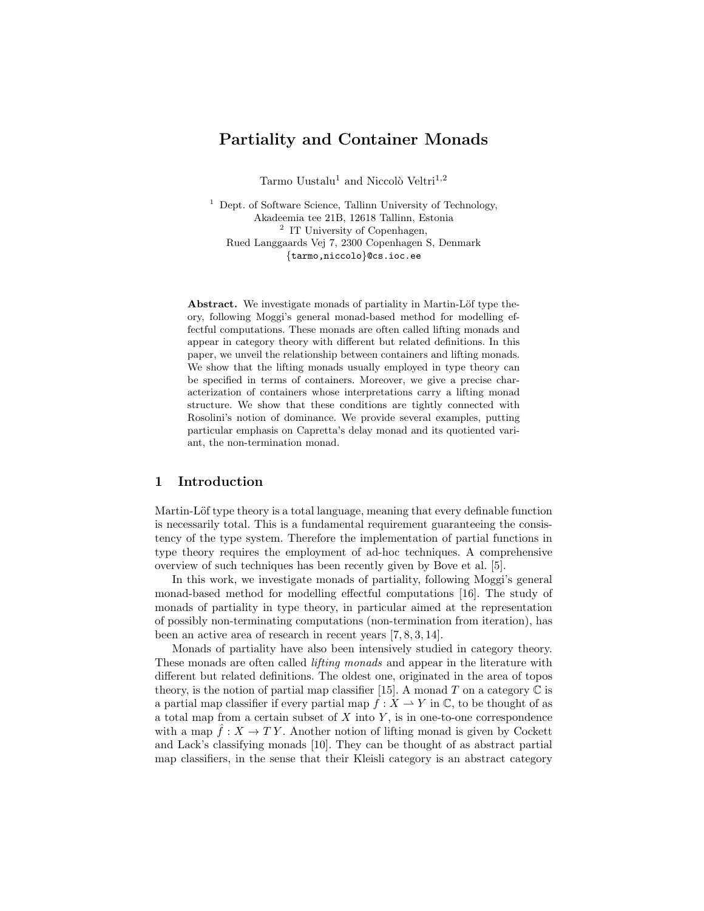# Partiality and Container Monads

Tarmo Uustalu<sup>1</sup> and Niccolò Veltri<sup>1,2</sup>

<sup>1</sup> Dept. of Software Science, Tallinn University of Technology, Akadeemia tee 21B, 12618 Tallinn, Estonia <sup>2</sup> IT University of Copenhagen, Rued Langgaards Vej 7, 2300 Copenhagen S, Denmark {tarmo,niccolo}@cs.ioc.ee

Abstract. We investigate monads of partiality in Martin-Löf type theory, following Moggi's general monad-based method for modelling effectful computations. These monads are often called lifting monads and appear in category theory with different but related definitions. In this paper, we unveil the relationship between containers and lifting monads. We show that the lifting monads usually employed in type theory can be specified in terms of containers. Moreover, we give a precise characterization of containers whose interpretations carry a lifting monad structure. We show that these conditions are tightly connected with Rosolini's notion of dominance. We provide several examples, putting particular emphasis on Capretta's delay monad and its quotiented variant, the non-termination monad.

# 1 Introduction

Martin-Löf type theory is a total language, meaning that every definable function is necessarily total. This is a fundamental requirement guaranteeing the consistency of the type system. Therefore the implementation of partial functions in type theory requires the employment of ad-hoc techniques. A comprehensive overview of such techniques has been recently given by Bove et al. [5].

In this work, we investigate monads of partiality, following Moggi's general monad-based method for modelling effectful computations [16]. The study of monads of partiality in type theory, in particular aimed at the representation of possibly non-terminating computations (non-termination from iteration), has been an active area of research in recent years [7, 8, 3, 14].

Monads of partiality have also been intensively studied in category theory. These monads are often called lifting monads and appear in the literature with different but related definitions. The oldest one, originated in the area of topos theory, is the notion of partial map classifier [15]. A monad T on a category  $\mathbb C$  is a partial map classifier if every partial map  $f: X \to Y$  in  $\mathbb{C}$ , to be thought of as a total map from a certain subset of  $X$  into  $Y$ , is in one-to-one correspondence with a map  $\hat{f}: X \to TY$ . Another notion of lifting monad is given by Cockett and Lack's classifying monads [10]. They can be thought of as abstract partial map classifiers, in the sense that their Kleisli category is an abstract category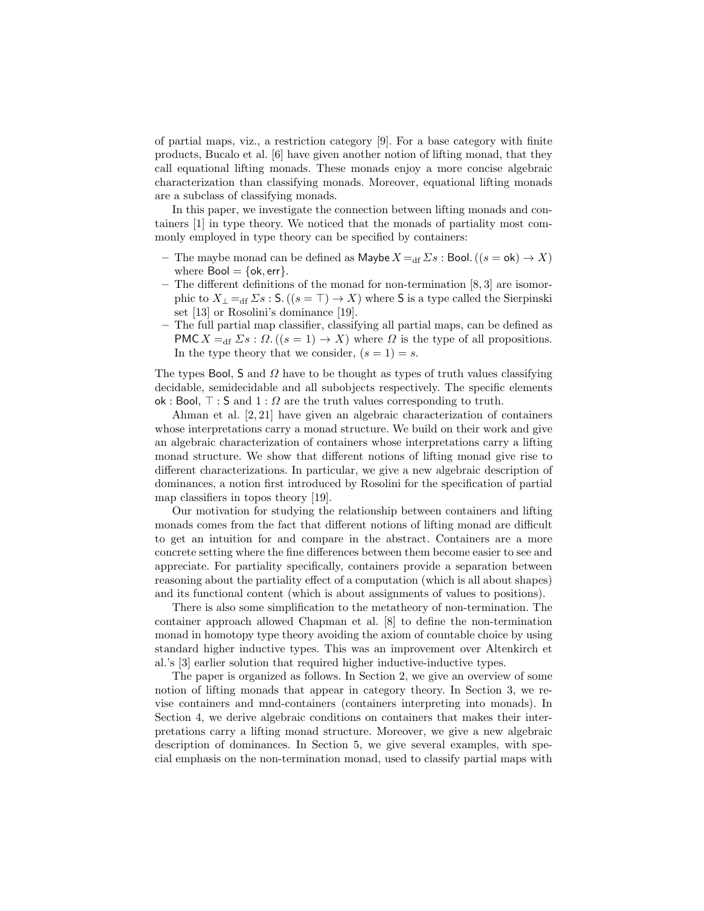of partial maps, viz., a restriction category [9]. For a base category with finite products, Bucalo et al. [6] have given another notion of lifting monad, that they call equational lifting monads. These monads enjoy a more concise algebraic characterization than classifying monads. Moreover, equational lifting monads are a subclass of classifying monads.

In this paper, we investigate the connection between lifting monads and containers [1] in type theory. We noticed that the monads of partiality most commonly employed in type theory can be specified by containers:

- The maybe monad can be defined as Maybe  $X =_{df} \Sigma s$  : Bool.  $((s = \mathsf{ok}) \to X)$ where  $Bool = \{ok, err\}.$
- The different definitions of the monad for non-termination [8, 3] are isomorphic to  $X_{\perp} =_{df} \Sigma s : S. ((s = \top) \rightarrow X)$  where S is a type called the Sierpinski set [13] or Rosolini's dominance [19].
- The full partial map classifier, classifying all partial maps, can be defined as PMC  $X =_{df} \Sigma s : \Omega$ .  $((s = 1) \rightarrow X)$  where  $\Omega$  is the type of all propositions. In the type theory that we consider,  $(s = 1) = s$ .

The types Bool, S and  $\Omega$  have to be thought as types of truth values classifying decidable, semidecidable and all subobjects respectively. The specific elements ok : Bool,  $\top$  : S and  $1: \Omega$  are the truth values corresponding to truth.

Ahman et al. [2, 21] have given an algebraic characterization of containers whose interpretations carry a monad structure. We build on their work and give an algebraic characterization of containers whose interpretations carry a lifting monad structure. We show that different notions of lifting monad give rise to different characterizations. In particular, we give a new algebraic description of dominances, a notion first introduced by Rosolini for the specification of partial map classifiers in topos theory [19].

Our motivation for studying the relationship between containers and lifting monads comes from the fact that different notions of lifting monad are difficult to get an intuition for and compare in the abstract. Containers are a more concrete setting where the fine differences between them become easier to see and appreciate. For partiality specifically, containers provide a separation between reasoning about the partiality effect of a computation (which is all about shapes) and its functional content (which is about assignments of values to positions).

There is also some simplification to the metatheory of non-termination. The container approach allowed Chapman et al. [8] to define the non-termination monad in homotopy type theory avoiding the axiom of countable choice by using standard higher inductive types. This was an improvement over Altenkirch et al.'s [3] earlier solution that required higher inductive-inductive types.

The paper is organized as follows. In Section 2, we give an overview of some notion of lifting monads that appear in category theory. In Section 3, we revise containers and mnd-containers (containers interpreting into monads). In Section 4, we derive algebraic conditions on containers that makes their interpretations carry a lifting monad structure. Moreover, we give a new algebraic description of dominances. In Section 5, we give several examples, with special emphasis on the non-termination monad, used to classify partial maps with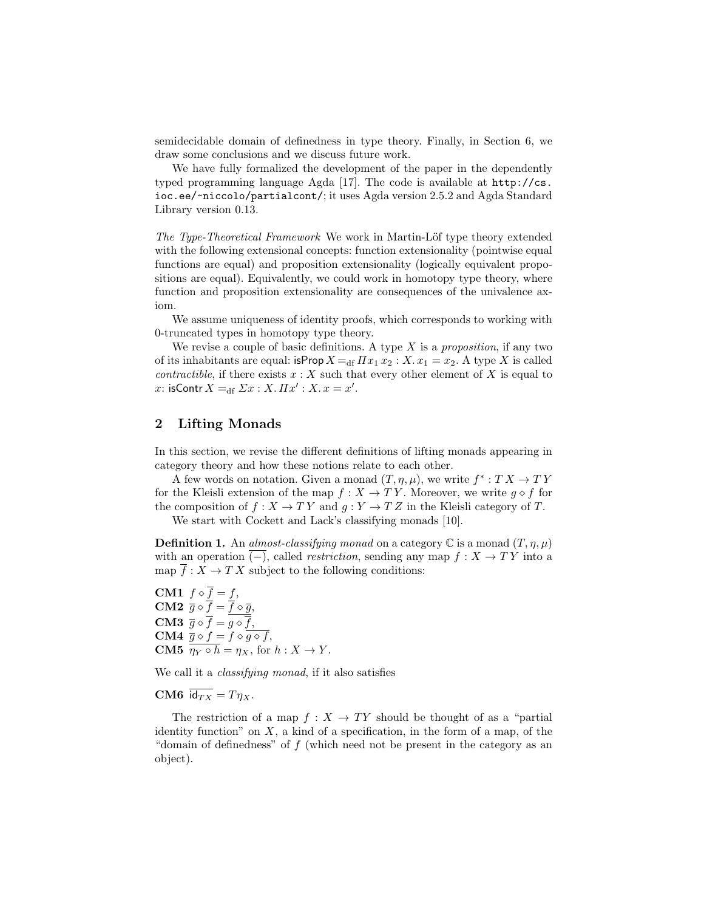semidecidable domain of definedness in type theory. Finally, in Section 6, we draw some conclusions and we discuss future work.

We have fully formalized the development of the paper in the dependently typed programming language Agda [17]. The code is available at http://cs. ioc.ee/~niccolo/partialcont/; it uses Agda version 2.5.2 and Agda Standard Library version 0.13.

The Type-Theoretical Framework We work in Martin-Löf type theory extended with the following extensional concepts: function extensionality (pointwise equal functions are equal) and proposition extensionality (logically equivalent propositions are equal). Equivalently, we could work in homotopy type theory, where function and proposition extensionality are consequences of the univalence axiom.

We assume uniqueness of identity proofs, which corresponds to working with 0-truncated types in homotopy type theory.

We revise a couple of basic definitions. A type  $X$  is a proposition, if any two of its inhabitants are equal: isProp  $X =$ df  $\Pi x_1 x_2 : X \cdot x_1 = x_2$ . A type X is called contractible, if there exists  $x : X$  such that every other element of X is equal to x: isContr  $X =_{df} \Sigma x : X \cdot \Pi x' : X \cdot x = x'.$ 

# 2 Lifting Monads

In this section, we revise the different definitions of lifting monads appearing in category theory and how these notions relate to each other.

A few words on notation. Given a monad  $(T, \eta, \mu)$ , we write  $f^* : T X \to T Y$ for the Kleisli extension of the map  $f : X \to TY$ . Moreover, we write  $g \diamond f$  for the composition of  $f : X \to TY$  and  $g : Y \to TZ$  in the Kleisli category of T.

We start with Cockett and Lack's classifying monads [10].

**Definition 1.** An almost-classifying monad on a category  $\mathbb C$  is a monad  $(T, \eta, \mu)$ with an operation  $\overline{(-)}$ , called *restriction*, sending any map  $f : X \to TY$  into a map  $f: X \to TX$  subject to the following conditions:

CM1  $f \diamond f = f$ , **CM2**  $\overline{g} \diamond f = f \diamond \overline{g}$ , **CM3**  $\overline{g} \diamond \overline{f} = g \diamond \overline{f}$ , CM4  $\overline{g} \diamond f = f \diamond g \diamond f,$ **CM5**  $\eta_Y \circ h = \eta_X$ , for  $h: X \to Y$ .

We call it a *classifying monad*, if it also satisfies

CM6  $\overline{\mathsf{id}_{TX}} = T\eta_X$ .

The restriction of a map  $f : X \to TY$  should be thought of as a "partial" identity function" on  $X$ , a kind of a specification, in the form of a map, of the "domain of definedness" of  $f$  (which need not be present in the category as an object).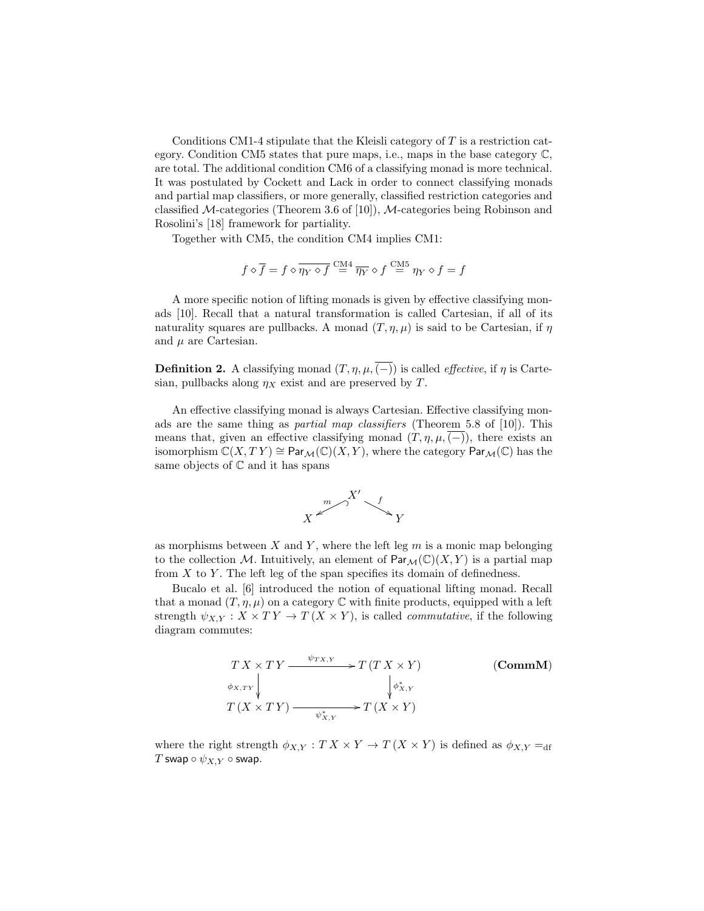Conditions CM1-4 stipulate that the Kleisli category of T is a restriction category. Condition CM5 states that pure maps, i.e., maps in the base category C, are total. The additional condition CM6 of a classifying monad is more technical. It was postulated by Cockett and Lack in order to connect classifying monads and partial map classifiers, or more generally, classified restriction categories and classified  $\mathcal{M}\text{-categories}$  (Theorem 3.6 of [10]),  $\mathcal{M}\text{-categories}$  being Robinson and Rosolini's [18] framework for partiality.

Together with CM5, the condition CM4 implies CM1:

$$
f \diamond \overline{f} = f \diamond \overline{\eta_Y \diamond f} \stackrel{\text{CM4}}{=} \overline{\eta_Y} \diamond f \stackrel{\text{CM5}}{=} \eta_Y \diamond f = f
$$

A more specific notion of lifting monads is given by effective classifying monads [10]. Recall that a natural transformation is called Cartesian, if all of its naturality squares are pullbacks. A monad  $(T, \eta, \mu)$  is said to be Cartesian, if  $\eta$ and  $\mu$  are Cartesian.

**Definition 2.** A classifying monad  $(T, \eta, \mu, \overline{(-)})$  is called *effective*, if  $\eta$  is Cartesian, pullbacks along  $\eta_X$  exist and are preserved by T.

An effective classifying monad is always Cartesian. Effective classifying monads are the same thing as partial map classifiers (Theorem 5.8 of [10]). This means that, given an effective classifying monad  $(T, \eta, \mu, (-))$ , there exists an isomorphism  $\mathbb{C}(X,TY) \cong \text{Par}_{\mathcal{M}}(\mathbb{C})(X,Y)$ , where the category  $\text{Par}_{\mathcal{M}}(\mathbb{C})$  has the same objects of  $\mathbb C$  and it has spans



as morphisms between  $X$  and  $Y$ , where the left leg  $m$  is a monic map belonging to the collection M. Intuitively, an element of  $\text{Par}_{\mathcal{M}}(\mathbb{C})(X, Y)$  is a partial map from  $X$  to  $Y$ . The left leg of the span specifies its domain of definedness.

Bucalo et al. [6] introduced the notion of equational lifting monad. Recall that a monad  $(T, \eta, \mu)$  on a category  $\mathbb C$  with finite products, equipped with a left strength  $\psi_{X,Y} : X \times TY \to T(X \times Y)$ , is called *commutative*, if the following diagram commutes:

$$
\begin{array}{ccc}\nTX \times TY & \xrightarrow{\psi_{TX,Y}} & T(T X \times Y) & \text{(CommM)} \\
\downarrow \phi_{X,Y} & & \downarrow \phi_{X,Y}^* \\
T(X \times TY) & \xrightarrow{\psi_{X,Y}^*} & T(X \times Y)\n\end{array}
$$

where the right strength  $\phi_{X,Y} : T X \times Y \to T (X \times Y)$  is defined as  $\phi_{X,Y} =_{df}$ T swap  $\circ \psi_{X,Y} \circ$  swap.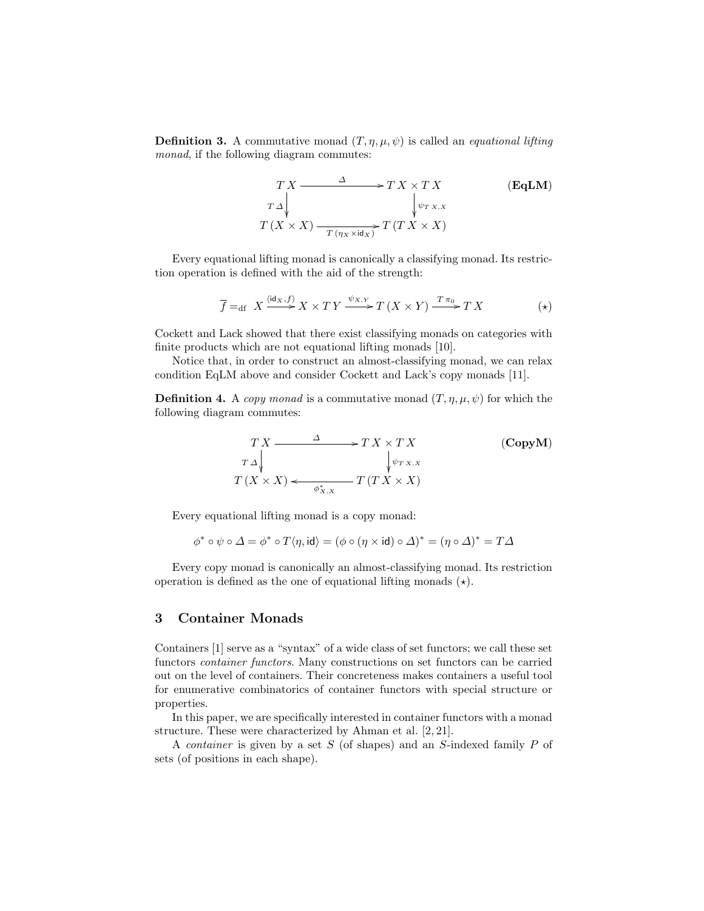**Definition 3.** A commutative monad  $(T, \eta, \mu, \psi)$  is called an *equational lifting* monad, if the following diagram commutes:

$$
\begin{array}{ccc}\n T X & \xrightarrow{\Delta} & T X \times T X & \text{(EqLM)} \\
 \downarrow{x_{\Delta}} & & \downarrow{\psi_{T X, X}} \\
 T (X \times X) & \xrightarrow{T (\eta_X \times \text{id}_X)} T (T X \times X)\n \end{array}
$$

Every equational lifting monad is canonically a classifying monad. Its restriction operation is defined with the aid of the strength:

$$
\overline{f} =_{\text{df}} X \xrightarrow{\langle \text{id}_X, f \rangle} X \times T Y \xrightarrow{\psi_{X,Y}} T (X \times Y) \xrightarrow{T \pi_0} T X
$$
 (\*)

Cockett and Lack showed that there exist classifying monads on categories with finite products which are not equational lifting monads [10].

Notice that, in order to construct an almost-classifying monad, we can relax condition EqLM above and consider Cockett and Lack's copy monads [11].

**Definition 4.** A copy monad is a commutative monad  $(T, \eta, \mu, \psi)$  for which the following diagram commutes:

$$
\begin{array}{ccc}\nTX & \xrightarrow{\Delta} & T X \times T X & \text{(CopyM)} \\
T \triangle & & \downarrow \psi_{T X, X} \\
T (X \times X) & \xrightarrow{\phi_{X, X}^*} & T (T X \times X)\n\end{array}
$$

Every equational lifting monad is a copy monad:

$$
\phi^* \circ \psi \circ \Delta = \phi^* \circ T \langle \eta, \mathrm{id} \rangle = (\phi \circ (\eta \times \mathrm{id}) \circ \Delta)^* = (\eta \circ \Delta)^* = T \Delta
$$

Every copy monad is canonically an almost-classifying monad. Its restriction operation is defined as the one of equational lifting monads  $(\star)$ .

### 3 Container Monads

Containers [1] serve as a "syntax" of a wide class of set functors; we call these set functors container functors. Many constructions on set functors can be carried out on the level of containers. Their concreteness makes containers a useful tool for enumerative combinatorics of container functors with special structure or properties.

In this paper, we are specifically interested in container functors with a monad structure. These were characterized by Ahman et al. [2, 21].

A container is given by a set S (of shapes) and an S-indexed family P of sets (of positions in each shape).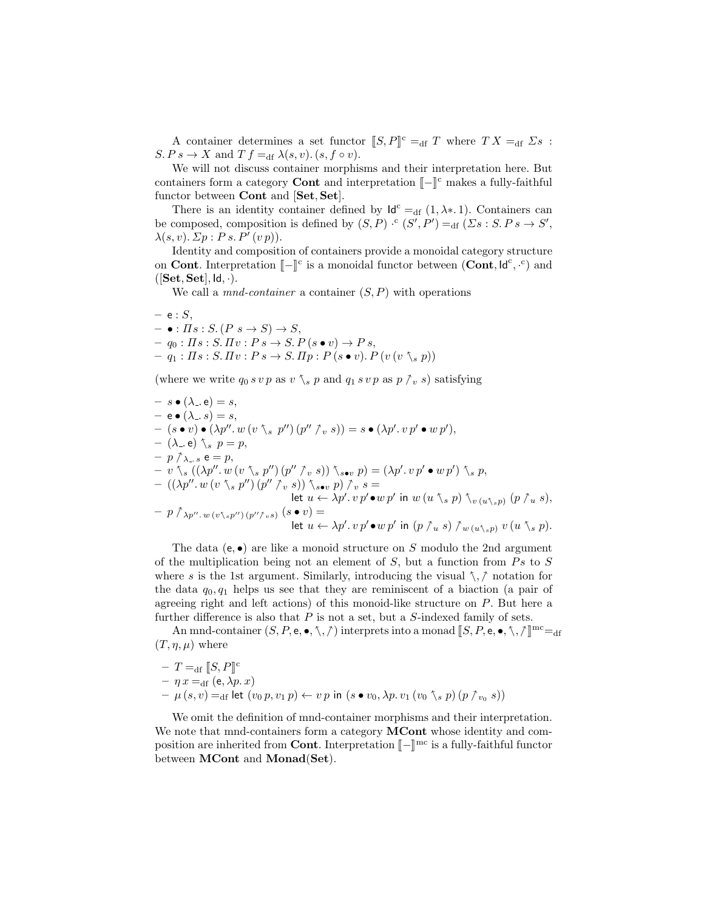A container determines a set functor  $[S, P]^c =_{df} T$  where  $TX =_{df} \Sigma s$ :  $S. P s \to X$  and  $T f =_{df} \lambda(s, v)$ .  $(s, f \circ v)$ .

We will not discuss container morphisms and their interpretation here. But containers form a category **Cont** and interpretation  $\llbracket - \rrbracket^c$  makes a fully-faithful<br>functor between **Cont** and **Sot** Set<sup>1</sup> functor between Cont and [Set, Set].

There is an identity container defined by  $\mathsf{Id}^c =_{df} (1, \lambda^*, 1)$ . Containers can be composed, composition is defined by  $(S, P) \cdot^c (S', P') =_{df} (Ss : S. Ps \to S',$  $\lambda(s, v)$ .  $\mathbb{Z}p : P s. P'(v p)$ ).

Identity and composition of containers provide a monoidal category structure on **Cont**. Interpretation  $\llbracket - \rrbracket^c$  is a monoidal functor between (**Cont**,  $\mathsf{Id}^c$ ,  $\cdot^c$ ) and  $(\mathsf{Sot}\; \mathsf{Set} \; \mathsf{Id})$  $([Set, Set], Id, \cdot).$ 

We call a *mnd-container* a container  $(S, P)$  with operations

$$
- e : S,
$$
  
\n
$$
- \bullet : \Pi s : S. (P s \to S) \to S,
$$
  
\n
$$
- q_0 : \Pi s : S. \Pi v : P s \to S. P(s \bullet v) \to P s,
$$
  
\n
$$
- q_1 : \Pi s : S. \Pi v : P s \to S. \Pi p : P(s \bullet v). P(v (v \text{ s}, p))
$$

(where we write  $q_0 s v p$  as  $v \, \tilde{\ } s p$  and  $q_1 s v p$  as  $p \, \tilde{\ } s$ ) satisfying

$$
- s \bullet (\lambda_{-} e) = s,
$$
  
\n
$$
- e \bullet (\lambda_{-} s) = s,
$$
  
\n
$$
- (s \bullet v) \bullet (\lambda p''. w (v \setminus s p'') (p'' \uparrow_{v} s)) = s \bullet (\lambda p'. v p' \bullet w p'),
$$
  
\n
$$
- (\lambda_{-} e) \setminus s p = p,
$$
  
\n
$$
- p \uparrow_{\lambda_{-} s} e = p,
$$
  
\n
$$
- v \setminus_{s} ((\lambda p''. w (v \setminus s p'') (p'' \uparrow_{v} s)) \setminus_{s \bullet v} p) = (\lambda p'. v p' \bullet w p') \setminus_{s} p,
$$
  
\n
$$
- ((\lambda p''. w (v \setminus_{s} p'') (p'' \uparrow_{v} s)) \setminus_{s \bullet v} p) \uparrow_{v} s =
$$
  
\n
$$
- p \uparrow_{\lambda p''. w (v \setminus_{s} p'') (p'' \uparrow_{v} s) (s \bullet v) =
$$
  
\n
$$
- p \uparrow_{\lambda p''. w (v \setminus_{s} p'') (p'' \uparrow_{v} s) (s \bullet v) =
$$
  
\n
$$
= \text{let } u \leftarrow \lambda p'. v p' \bullet w p' \text{ in } (p \uparrow_{u} s) \uparrow_{w (u \setminus_{s} p)} v (u \setminus_{s} p).
$$

The data  $(e, \bullet)$  are like a monoid structure on S modulo the 2nd argument of the multiplication being not an element of  $S$ , but a function from  $Ps$  to  $S$ where s is the 1st argument. Similarly, introducing the visual  $\zeta$ ,  $\gamma$  notation for the data  $q_0, q_1$  helps us see that they are reminiscent of a biaction (a pair of agreeing right and left actions) of this monoid-like structure on P. But here a further difference is also that  $P$  is not a set, but a  $S$ -indexed family of sets.

An mnd-container  $(S, P, e, \bullet, \wedge, \wedge)$  interprets into a monad  $\llbracket S, P, e, \bullet, \wedge, \wedge \rrbracket^{\text{mc}} =_{\text{df}}$  $(T, \eta, \mu)$  where

$$
- T =_{df} [S, P]^c
$$
  
-  $\eta x =_{df} (e, \lambda p. x)$   
-  $\mu (s, v) =_{df} let (v_0 p, v_1 p) \leftarrow v p in (s \bullet v_0, \lambda p. v_1 (v_0 \text{ s} p) (p \uparrow_{v_0} s))$ 

We omit the definition of mnd-container morphisms and their interpretation. We note that mnd-containers form a category **MCont** whose identity and composition are inherited from **Cont**. Interpretation  $\llbracket - \rrbracket^{\text{mc}}$  is a fully-faithful functor<br>hetween **MCont** and **Monad**(Set) between MCont and Monad(Set).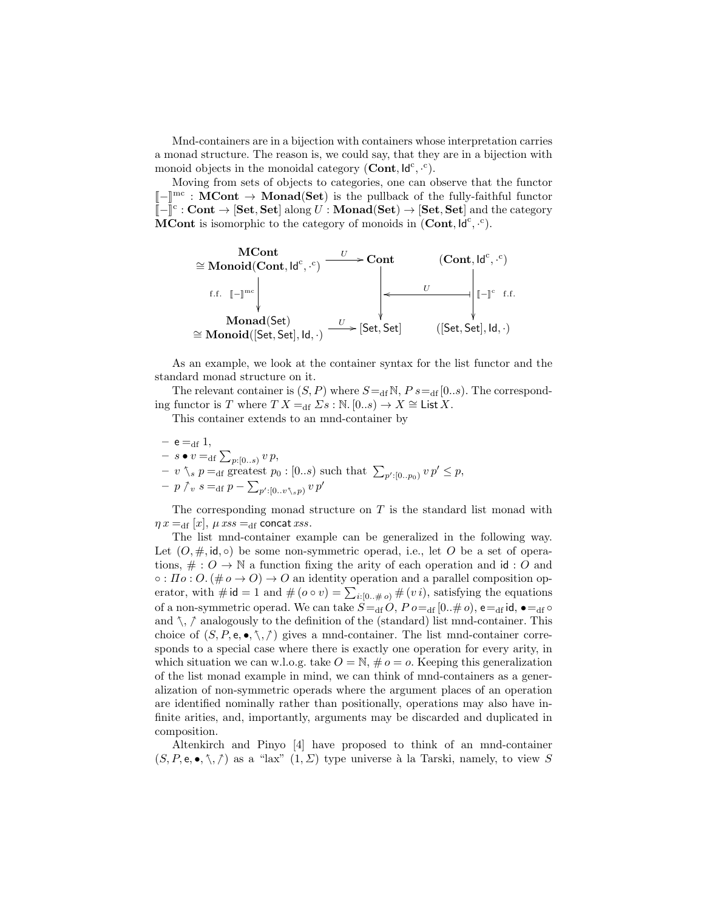Mnd-containers are in a bijection with containers whose interpretation carries a monad structure. The reason is, we could say, that they are in a bijection with monoid objects in the monoidal category  $(Cont, Id^c, \cdot^c)$ .

Moving from sets of objects to categories, one can observe that the functor  $\llbracket - \rrbracket^{\text{mc}} : \mathbf{MCont} \to \mathbf{Monad}(\mathbf{Set})$  is the pullback of the fully-faithful functor<br> $\llbracket - \rrbracket^{\text{cc}} : \mathbf{Cont} \to \mathbf{Set} \text{ slot} \text{ color} \times U : \mathbf{Monad}(\mathbf{Set}) \to \mathbf{Set} \text{ Set}$  $\llbracket - \rrbracket^c : \textbf{Cont} \to [\textbf{Set}, \textbf{Set}] \text{ along } U : \textbf{Monad}(\textbf{Set}) \to [\textbf{Set}, \textbf{Set}] \text{ and the category}$ <br>MCont is isomorphic to the category of monoids in (Cont  $\lg^c \frac{c}{c}$ ) **MCont** is isomorphic to the category of monoids in  $(Cont, Id^c, \cdot^c)$ .

$$
\cong \operatorname{Monoid}(\operatorname{Cont}, \operatorname{Id}^c, \cdot^c) \xrightarrow{U} \xrightarrow{U} \operatorname{Cont} \qquad (\operatorname{Cont}, \operatorname{Id}^c, \cdot^c)
$$
\n
$$
\uparrow \qquad \qquad \downarrow \qquad \qquad \downarrow \qquad \qquad \downarrow \qquad \qquad \downarrow \qquad \qquad \downarrow \qquad \qquad \downarrow \qquad \qquad \downarrow \qquad \qquad \downarrow \qquad \qquad \downarrow \qquad \qquad \downarrow \qquad \qquad \downarrow \qquad \qquad \downarrow \qquad \qquad \downarrow \qquad \downarrow \qquad \downarrow \qquad \downarrow \qquad \downarrow \qquad \downarrow \qquad \downarrow \qquad \downarrow \qquad \downarrow \qquad \downarrow \qquad \downarrow \qquad \downarrow \qquad \downarrow \qquad \downarrow \qquad \downarrow \qquad \downarrow \qquad \downarrow \qquad \downarrow \qquad \downarrow \qquad \downarrow \qquad \downarrow \qquad \downarrow \qquad \downarrow \qquad \downarrow \qquad \downarrow \qquad \downarrow \qquad \downarrow \qquad \downarrow \qquad \downarrow \qquad \downarrow \qquad \downarrow \qquad \downarrow \qquad \downarrow \qquad \downarrow \qquad \downarrow \qquad \downarrow \qquad \downarrow \qquad \downarrow \qquad \downarrow \qquad \downarrow \qquad \downarrow \qquad \downarrow \qquad \downarrow \qquad \downarrow \qquad \downarrow \qquad \downarrow \qquad \downarrow \qquad \downarrow \qquad \downarrow \qquad \downarrow \qquad \downarrow \qquad \downarrow \qquad \downarrow \qquad \downarrow \qquad \downarrow \qquad \downarrow \qquad \downarrow \qquad \downarrow \qquad \downarrow \qquad \downarrow \qquad \downarrow \qquad \downarrow \qquad \downarrow \qquad \downarrow \qquad \downarrow \qquad \downarrow \qquad \downarrow \qquad \downarrow \qquad \downarrow \qquad \downarrow \qquad \downarrow \qquad \downarrow \qquad \downarrow \qquad \downarrow \qquad \downarrow \qquad \downarrow \qquad \downarrow \qquad \downarrow \qquad \downarrow \qquad \downarrow \qquad \downarrow \qquad \downarrow \qquad \downarrow \qquad \downarrow \qquad \downarrow \qquad \downarrow \qquad \downarrow \qquad \downarrow \qquad \downarrow \qquad \downarrow \qquad \downarrow \qquad \downarrow \qquad \downarrow \qquad \downarrow \qquad
$$

As an example, we look at the container syntax for the list functor and the standard monad structure on it.

The relevant container is  $(S, P)$  where  $S =_{df} N$ ,  $P s =_{df} [0..s)$ . The corresponding functor is T where  $TX =_{df} \Sigma s : \mathbb{N}$ .  $[0..s) \to X \cong \text{List } X$ .

This container extends to an mnd-container by

 $-$  e = df 1,  $- s \bullet v =_{\text{df}} \sum_{p:[0..s)} v p,$  $-v \searrow_p p =_{\text{df}} \text{greatest } p_0 : [0..s) \text{ such that } \sum_{p':[0..p_0)} v p' \leq p,$  $- p \nvert p \nvert s =_{df} p - \sum_{p':[0..v\text{ } \mathcal{N},s p)} v p'$ 

The corresponding monad structure on  $T$  is the standard list monad with  $\eta x =_{df} [x]$ ,  $\mu xss =_{df}$  concat xss.

The list mnd-container example can be generalized in the following way. Let  $(0, \#, id, \circ)$  be some non-symmetric operad, i.e., let O be a set of operations,  $\# : O \to \mathbb{N}$  a function fixing the arity of each operation and id : O and  $\circ$ :  $\Pi$ o:  $O$ . ( $\#$ o  $\rightarrow$   $O$ )  $\rightarrow$   $O$  an identity operation and a parallel composition operator, with  $\#\mathsf{id} = 1$  and  $\#(o \circ v) = \sum_{i:[0..\#o)} \#(vi)$ , satisfying the equations of a non-symmetric operad. We can take  $S =_{\text{df}} O, P o =_{\text{df}} [0..\# o),$   $e =_{\text{df}} \text{id}, \bullet =_{\text{df}} \circ$ and  $\hat{\ }$ ,  $\hat{\ }$  analogously to the definition of the (standard) list mnd-container. This choice of  $(S, P, e, \bullet, \gamma, \gamma)$  gives a mnd-container. The list mnd-container corresponds to a special case where there is exactly one operation for every arity, in which situation we can w.l.o.g. take  $O = N$ ,  $\# o = o$ . Keeping this generalization of the list monad example in mind, we can think of mnd-containers as a generalization of non-symmetric operads where the argument places of an operation are identified nominally rather than positionally, operations may also have infinite arities, and, importantly, arguments may be discarded and duplicated in composition.

Altenkirch and Pinyo [4] have proposed to think of an mnd-container  $(S, P, e, \bullet, \mathcal{N}, \mathcal{N})$  as a "lax"  $(1, \Sigma)$  type universe à la Tarski, namely, to view S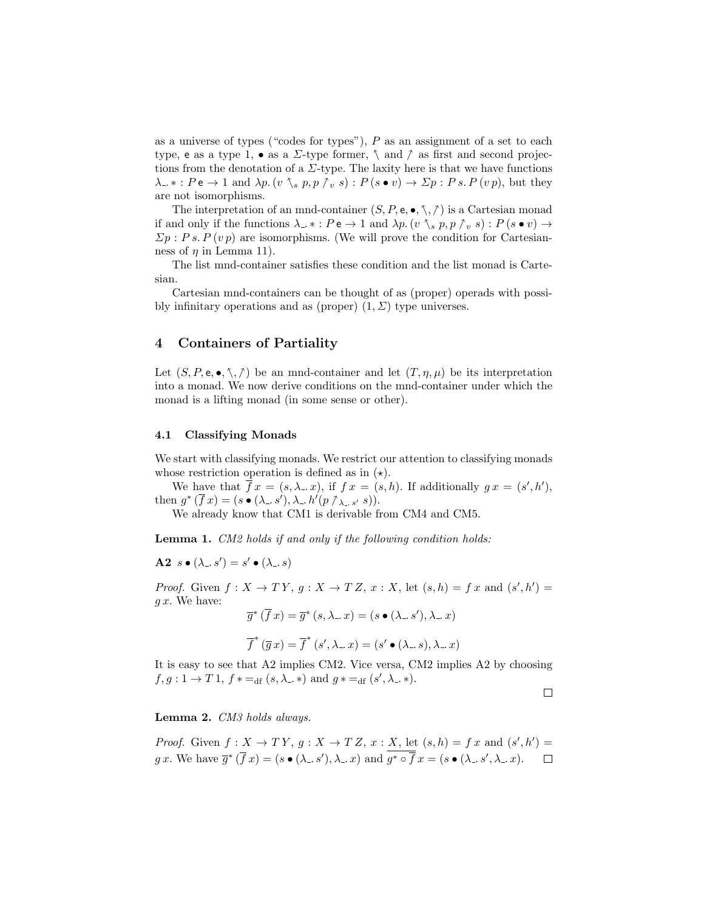as a universe of types ("codes for types"),  $P$  as an assignment of a set to each type, e as a type 1,  $\bullet$  as a  $\Sigma$ -type former,  $\setminus$  and  $\uparrow$  as first and second projections from the denotation of a  $\Sigma$ -type. The laxity here is that we have functions  $\lambda_-\ast: P \cdot \bullet \to 1$  and  $\lambda p. (v \setminus_s p, p \upharpoonright_v s): P(s \bullet v) \to \Sigma p : P s. P(v p)$ , but they are not isomorphisms.

The interpretation of an mnd-container  $(S, P, e, \bullet, \nwarrow, \wedge)$  is a Cartesian monad if and only if the functions  $\lambda_{-}$  \*:  $Pe \rightarrow 1$  and  $\lambda p$ .  $(v \setminus_s p, p \uparrow_v s) : P(s \bullet v) \rightarrow$  $\Sigma p : P s. P (v p)$  are isomorphisms. (We will prove the condition for Cartesianness of  $\eta$  in Lemma 11).

The list mnd-container satisfies these condition and the list monad is Cartesian.

Cartesian mnd-containers can be thought of as (proper) operads with possibly infinitary operations and as (proper)  $(1, \Sigma)$  type universes.

# 4 Containers of Partiality

Let  $(S, P, e, \bullet, \nwarrow, \wedge)$  be an mnd-container and let  $(T, \eta, \mu)$  be its interpretation into a monad. We now derive conditions on the mnd-container under which the monad is a lifting monad (in some sense or other).

#### 4.1 Classifying Monads

We start with classifying monads. We restrict our attention to classifying monads whose restriction operation is defined as in  $(\star)$ .

We have that  $\overline{f}x = (s, \lambda, x)$ , if  $f x = (s, h)$ . If additionally  $g x = (s', h'),$ then  $g^*(\bar{f}x) = (s \bullet (\lambda_-, s'), \lambda_-, h'(p \uparrow_{\lambda_-, s'}, s)).$ <br>We also say know that CM1 is downable for

We already know that CM1 is derivable from CM4 and CM5.

Lemma 1. CM2 holds if and only if the following condition holds:

 $\mathbf{A2} \;\; s \bullet (\lambda_-, s') = s' \bullet (\lambda_-, s)$ 

*Proof.* Given  $f: X \to TY$ ,  $g: X \to TZ$ ,  $x: X$ , let  $(s, h) = fx$  and  $(s', h') =$  $g x$ . We have:

$$
\overline{g}^*(\overline{f}x) = \overline{g}^*(s, \lambda \cdot x) = (s \bullet (\lambda \cdot s'), \lambda \cdot x)
$$

$$
\overline{f}^*(\overline{g}x) = \overline{f}^*(s', \lambda \cdot x) = (s' \bullet (\lambda \cdot s), \lambda \cdot x)
$$

It is easy to see that A2 implies CM2. Vice versa, CM2 implies A2 by choosing  $f, g: 1 \to T 1, f * =_{df} (s, \lambda_-, *)$  and  $g * =_{df} (s', \lambda_-, *)$ .

 $\Box$ 

Lemma 2. CM3 holds always.

*Proof.* Given 
$$
f : X \to TY
$$
,  $g : X \to TZ$ ,  $x : X$ , let  $(s, h) = fx$  and  $(s', h') = gx$ . We have  $\overline{g}^*(\overline{f}x) = (s \bullet (\lambda_-, s'), \lambda_-, x)$  and  $\overline{g^* \circ \overline{f}x} = (s \bullet (\lambda_-, s', \lambda_-, x)$ .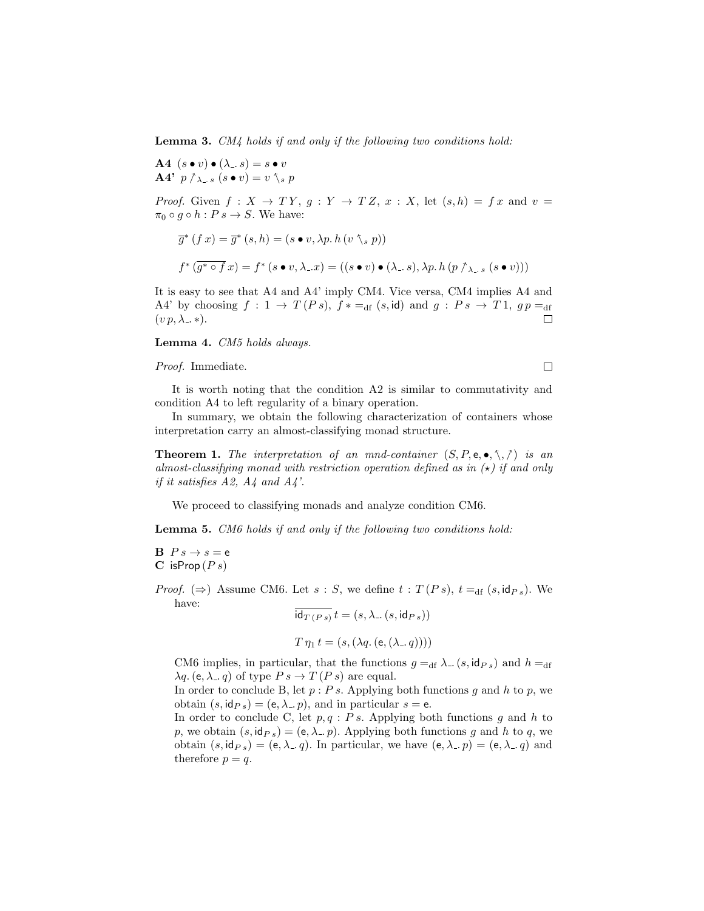Lemma 3. CM4 holds if and only if the following two conditions hold:

A4  $(s \bullet v) \bullet (\lambda \cdot s) = s \bullet v$ A4'  $p \uparrow_{\lambda=s} (s \bullet v) = v \uparrow_s p$ 

*Proof.* Given  $f: X \to TY$ ,  $g: Y \to TZ$ ,  $x: X$ , let  $(s, h) = fx$  and  $v =$  $\pi_0 \circ g \circ h : Ps \to S$ . We have:

$$
\overline{g}^*(f\,x) = \overline{g}^*(s,h) = (s \bullet v, \lambda p. h\,(v \setminus_s p))
$$
  

$$
f^*(\overline{g^* \circ f} \,x) = f^*(s \bullet v, \lambda \_x) = ((s \bullet v) \bullet (\lambda \_s), \lambda p. h\,(p \uparrow_{\lambda \_s} (s \bullet v)))
$$

It is easy to see that A4 and A4' imply CM4. Vice versa, CM4 implies A4 and A4' by choosing  $f: 1 \rightarrow T(Ps)$ ,  $f* =_{df} (s, id)$  and  $g: Ps \rightarrow T1$ ,  $gp =_{df}$  $(v p, \lambda_-, *)$ .  $\Box$ 

Lemma 4. CM5 holds always.

Proof. Immediate.

 $\Box$ 

It is worth noting that the condition A2 is similar to commutativity and condition A4 to left regularity of a binary operation.

In summary, we obtain the following characterization of containers whose interpretation carry an almost-classifying monad structure.

**Theorem 1.** The interpretation of an mnd-container  $(S, P, e, \bullet, \nwarrow, \wedge)$  is an almost-classifying monad with restriction operation defined as in  $(\star)$  if and only if it satisfies  $A2$ ,  $A4$  and  $A4$ .

We proceed to classifying monads and analyze condition CM6.

Lemma 5. CM6 holds if and only if the following two conditions hold:

 $\mathbf{B} \ \ P \ s \to s = \mathbf{e}$  $C$  isProp  $(P s)$ 

*Proof.* ( $\Rightarrow$ ) Assume CM6. Let s : S, we define  $t : T(Ps)$ ,  $t =_{df} (s, id_{Ps})$ . We have:

$$
\mathrm{id}_{T(Ps)} t = (s, \lambda_{-}(s, \mathrm{id}_{Ps}))
$$

$$
T \eta_1 t = (s, (\lambda q. (e, (\lambda_-, q))))
$$

CM6 implies, in particular, that the functions  $g =_{df} \lambda$ .  $(s, id_{Ps})$  and  $h =_{df}$  $\lambda q.$  (e,  $\lambda_1, q$ ) of type  $Ps \to T(Ps)$  are equal.

In order to conclude B, let  $p : Ps$ . Applying both functions g and h to p, we obtain  $(s, id_{Ps}) = (e, \lambda, p)$ , and in particular  $s = e$ .

In order to conclude C, let  $p, q : Ps$ . Applying both functions g and h to p, we obtain  $(s, id_{Ps}) = (e, \lambda_n p)$ . Applying both functions g and h to q, we obtain  $(s, id_{Ps}) = (e, \lambda_a q)$ . In particular, we have  $(e, \lambda_a p) = (e, \lambda_a q)$  and therefore  $p = q$ .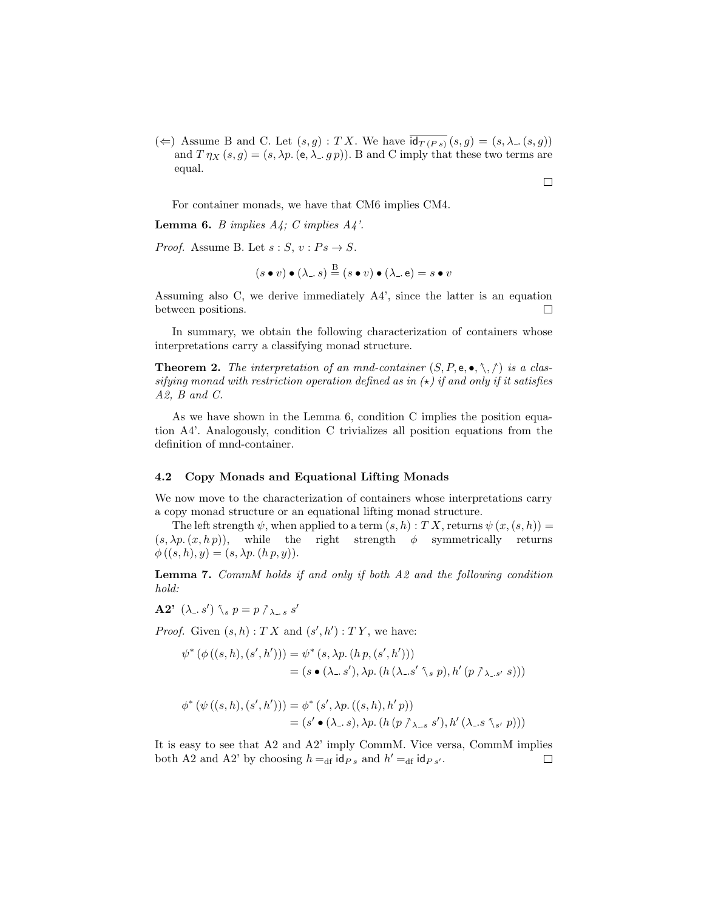( $\Leftarrow$ ) Assume B and C. Let  $(s, g) : TX$ . We have  $\overline{id_{T(P s)}}(s, g) = (s, \lambda_-(s, g))$ and  $T \eta_X(s, g) = (s, \lambda p. (e, \lambda g. g p)).$  B and C imply that these two terms are equal.

For container monads, we have that CM6 implies CM4.

**Lemma 6.** *B* implies  $A_4$ ; *C* implies  $A_4$ '.

*Proof.* Assume B. Let  $s : S, v : Ps \to S$ .

$$
(s \bullet v) \bullet (\lambda \dots s) \stackrel{\text{B}}{=} (s \bullet v) \bullet (\lambda \dots e) = s \bullet v
$$

Assuming also C, we derive immediately A4', since the latter is an equation between positions. П

In summary, we obtain the following characterization of containers whose interpretations carry a classifying monad structure.

**Theorem 2.** The interpretation of an mnd-container  $(S, P, e, \bullet, \nwarrow, \wedge)$  is a classifying monad with restriction operation defined as in  $(\star)$  if and only if it satisfies A2, B and C.

As we have shown in the Lemma 6, condition C implies the position equation A4'. Analogously, condition C trivializes all position equations from the definition of mnd-container.

#### 4.2 Copy Monads and Equational Lifting Monads

We now move to the characterization of containers whose interpretations carry a copy monad structure or an equational lifting monad structure.

The left strength  $\psi$ , when applied to a term  $(s, h) : T X$ , returns  $\psi(x, (s, h)) =$  $(s, \lambda p. (x, h p))$ , while the right strength  $\phi$  symmetrically returns  $\phi((s, h), y) = (s, \lambda p. (h p, y)).$ 

Lemma 7. CommM holds if and only if both A2 and the following condition hold:

$$
\mathbf{A2' } \ (\lambda \ldotp s') \ \gamma_s \ p = p \ \gamma_{\lambda \ldotp s} \ s'
$$

*Proof.* Given  $(s, h) : TX$  and  $(s', h') : TY$ , we have:

$$
\psi^* (\phi ((s,h),(s',h'))) = \psi^* (s,\lambda p. (h p, (s',h')))
$$
  
=  $(s \bullet (\lambda_-, s'), \lambda p. (h (\lambda_-, s' \setminus s p), h' (p \uparrow_{\lambda_-, s'} s)))$ 

$$
\phi^* (\psi ((s, h), (s', h'))) = \phi^* (s', \lambda p. ((s, h), h' p))
$$
  
=  $(s' \bullet (\lambda \dots s), \lambda p. (h (p \wedge_{\lambda \dots s} s'), h' (\lambda \dots s \wedge_{s'} p)))$ 

It is easy to see that A2 and A2' imply CommM. Vice versa, CommM implies both A2 and A2' by choosing  $h =_{df} id_{Ps}$  and  $h' =_{df} id_{Ps'}$ .  $\Box$ 

 $\Box$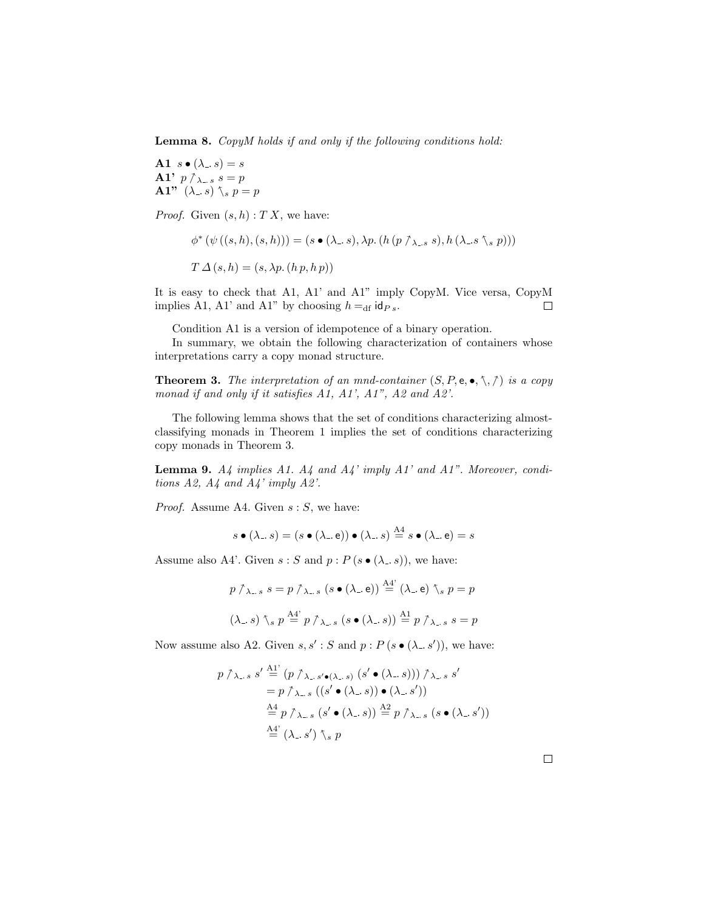Lemma 8. CopyM holds if and only if the following conditions hold:

A1  $s \bullet (\lambda \cdot s) = s$ A1'  $p \uparrow_{\lambda_{-} s} s = p$ A1"  $(\lambda_{-}, s)$   $\zeta_{s} p = p$ 

*Proof.* Given  $(s, h) : T X$ , we have:

$$
\phi^* (\psi ((s, h), (s, h))) = (s \bullet (\lambda \_ s), \lambda p. (h (p \wedge_{\lambda \_ s} s), h (\lambda \_ s \wedge_s p)))
$$
  

$$
T \Delta (s, h) = (s, \lambda p. (h p, h p))
$$

It is easy to check that A1, A1' and A1" imply CopyM. Vice versa, CopyM implies A1, A1' and A1" by choosing  $h =_{df} id_{Ps}$ .  $\Box$ 

Condition A1 is a version of idempotence of a binary operation.

In summary, we obtain the following characterization of containers whose interpretations carry a copy monad structure.

**Theorem 3.** The interpretation of an mnd-container  $(S, P, e, \bullet, \mathcal{F}, \mathcal{F})$  is a copy monad if and only if it satisfies A1, A1', A1", A2 and A2'.

The following lemma shows that the set of conditions characterizing almostclassifying monads in Theorem 1 implies the set of conditions characterizing copy monads in Theorem 3.

**Lemma 9.**  $A_4$  implies  $A_1$ .  $A_4$  and  $A_4$ ' imply  $A_1$ ' and  $A_1$ ". Moreover, conditions  $A2$ ,  $A4$  and  $A4'$  imply  $A2'$ .

*Proof.* Assume A4. Given  $s : S$ , we have:

$$
s \bullet (\lambda_-. s) = (s \bullet (\lambda_-. \mathsf{e})) \bullet (\lambda_-. s) \stackrel{\mathrm{A4}}{=} s \bullet (\lambda_-. \mathsf{e}) = s
$$

Assume also A4'. Given  $s : S$  and  $p : P(s \bullet (\lambda \cdot s))$ , we have:

$$
p \uparrow_{\lambda_{-},s} s = p \uparrow_{\lambda_{-},s} (s \bullet (\lambda_{-}, \mathbf{e})) \stackrel{\text{A4'}}{=} (\lambda_{-}, \mathbf{e}) \uparrow_{s} p = p
$$
  

$$
(\lambda_{-}, s) \uparrow_{s} p \stackrel{\text{A4'}}{=} p \uparrow_{\lambda_{-},s} (s \bullet (\lambda_{-}, s)) \stackrel{\text{A1}}{=} p \uparrow_{\lambda_{-},s} s = p
$$

Now assume also A2. Given  $s, s' : S$  and  $p : P(s \bullet (\lambda \cdot s'))$ , we have:

$$
p \nearrow_{\lambda_{-},s} s' \stackrel{\text{A1'}}{=} (p \nearrow_{\lambda_{-},s'\bullet(\lambda_{-},s)} (s' \bullet (\lambda_{-},s))) \nearrow_{\lambda_{-},s} s' = p \nearrow_{\lambda_{-},s} ((s' \bullet (\lambda_{-},s)) \bullet (\lambda_{-},s')) \stackrel{\text{A4}}{=} p \nearrow_{\lambda_{-},s} (s' \bullet (\lambda_{-},s)) \stackrel{\text{A2}}{=} p \nearrow_{\lambda_{-},s} (s \bullet (\lambda_{-},s')) \stackrel{\text{A4'}}{=} (\lambda_{-},s') \searrow p
$$

 $\Box$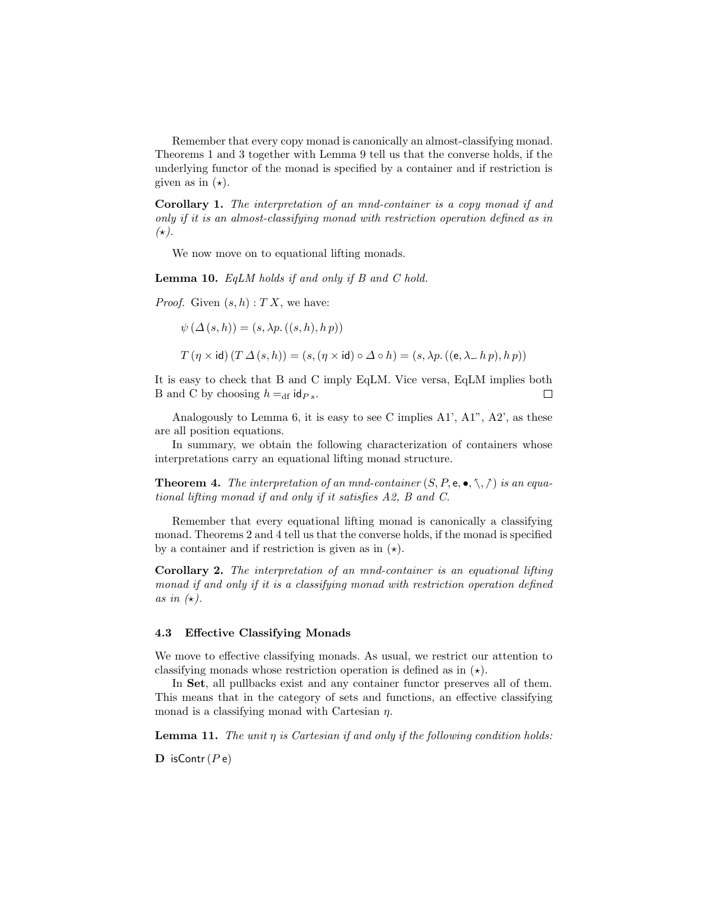Remember that every copy monad is canonically an almost-classifying monad. Theorems 1 and 3 together with Lemma 9 tell us that the converse holds, if the underlying functor of the monad is specified by a container and if restriction is given as in  $(\star)$ .

Corollary 1. The interpretation of an mnd-container is a copy monad if and only if it is an almost-classifying monad with restriction operation defined as in  $(\star).$ 

We now move on to equational lifting monads.

**Lemma 10.** EqLM holds if and only if  $B$  and  $C$  hold.

*Proof.* Given  $(s, h) : T X$ , we have:

 $\psi(\Delta(s,h)) = (s, \lambda p.((s,h), h p))$ 

 $T(\eta \times id)$   $(T \Delta(s, h)) = (s, (\eta \times id) \circ \Delta \circ h) = (s, \lambda p. ((e, \lambda h p), h p))$ 

It is easy to check that B and C imply EqLM. Vice versa, EqLM implies both B and C by choosing  $h =_{df} id_{Ps}$ . П

Analogously to Lemma 6, it is easy to see C implies A1', A1", A2', as these are all position equations.

In summary, we obtain the following characterization of containers whose interpretations carry an equational lifting monad structure.

**Theorem 4.** The interpretation of an mnd-container  $(S, P, e, \bullet, \nwarrow, \wedge)$  is an equational lifting monad if and only if it satisfies A2, B and C.

Remember that every equational lifting monad is canonically a classifying monad. Theorems 2 and 4 tell us that the converse holds, if the monad is specified by a container and if restriction is given as in  $(\star)$ .

Corollary 2. The interpretation of an mnd-container is an equational lifting monad if and only if it is a classifying monad with restriction operation defined as in  $(\star)$ .

#### 4.3 Effective Classifying Monads

We move to effective classifying monads. As usual, we restrict our attention to classifying monads whose restriction operation is defined as in  $(\star)$ .

In Set, all pullbacks exist and any container functor preserves all of them. This means that in the category of sets and functions, an effective classifying monad is a classifying monad with Cartesian  $\eta$ .

**Lemma 11.** The unit  $\eta$  is Cartesian if and only if the following condition holds:

**D** isContr( $P e$ )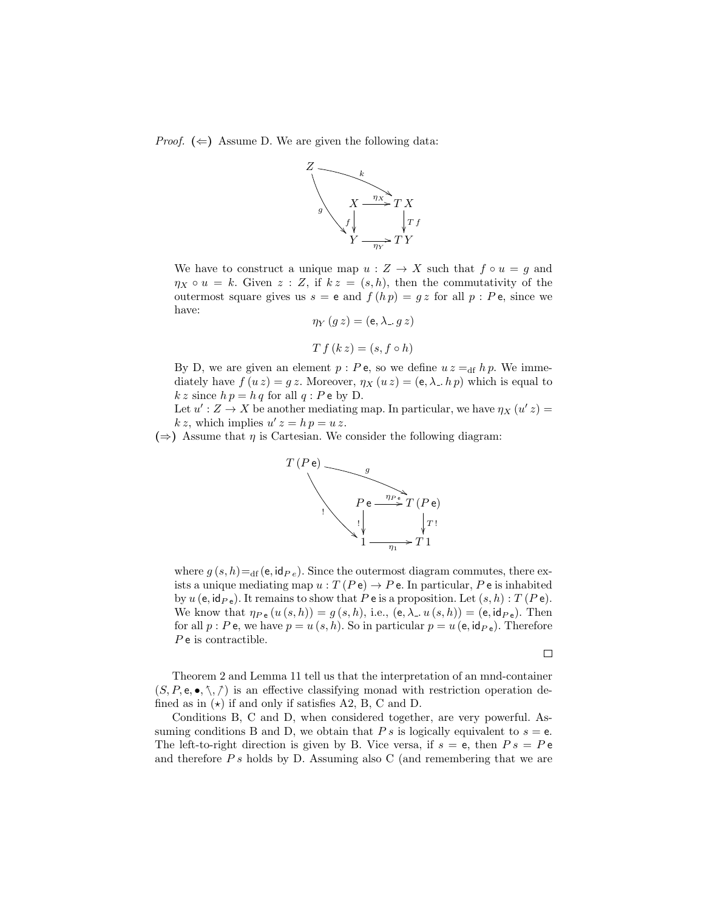*Proof.*  $(\Leftarrow)$  Assume D. We are given the following data:



We have to construct a unique map  $u: Z \to X$  such that  $f \circ u = g$  and  $\eta_X \circ u = k$ . Given  $z : Z$ , if  $kz = (s, h)$ , then the commutativity of the outermost square gives us  $s = e$  and  $f(h p) = gz$  for all  $p : Pe$ , since we have:

$$
\eta_Y(g z) = (e, \lambda \cdot g z)
$$

$$
T f (k z) = (s, f \circ h)
$$

By D, we are given an element  $p : P$ e, so we define  $u z =_{df} h p$ . We immediately have  $f(u z) = gz$ . Moreover,  $\eta_X(u z) = (e, \lambda, h p)$  which is equal to  $k z$  since  $h p = h q$  for all  $q : P e$  by D.

Let  $u' : Z \to X$  be another mediating map. In particular, we have  $\eta_X(u'z) =$  $k z$ , which implies  $u' z = h p = u z$ .

 $(\Rightarrow)$  Assume that  $\eta$  is Cartesian. We consider the following diagram:



where  $g(s, h) =_{df}(e, id_{Pe})$ . Since the outermost diagram commutes, there exists a unique mediating map  $u : T(Pe) \to Pe$ . In particular, Pe is inhabited by  $u$  (e, id<sub>P e</sub>). It remains to show that P e is a proposition. Let  $(s, h) : T(Pe)$ . We know that  $\eta_{P e}(u(s, h)) = g(s, h)$ , i.e.,  $(e, \lambda, u(s, h)) = (e, id_{P e})$ . Then for all  $p : P$  e, we have  $p = u(s, h)$ . So in particular  $p = u(e, id_{P}e)$ . Therefore  $P$  e is contractible.

 $\Box$ 

Theorem 2 and Lemma 11 tell us that the interpretation of an mnd-container  $(S, P, e, \bullet, \diamondsuit, \diamondsuit)$  is an effective classifying monad with restriction operation defined as in  $(\star)$  if and only if satisfies A2, B, C and D.

Conditions B, C and D, when considered together, are very powerful. Assuming conditions B and D, we obtain that P s is logically equivalent to  $s = e$ . The left-to-right direction is given by B. Vice versa, if  $s = e$ , then  $Ps = Pe$ and therefore  $Ps$  holds by D. Assuming also C (and remembering that we are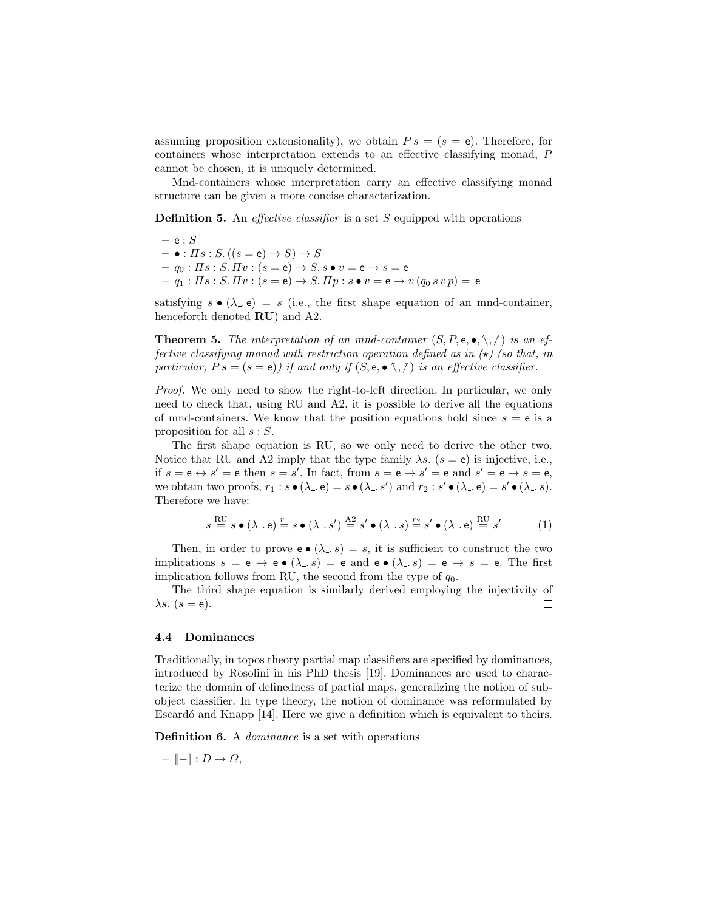assuming proposition extensionality), we obtain  $Ps = (s = e)$ . Therefore, for containers whose interpretation extends to an effective classifying monad, P cannot be chosen, it is uniquely determined.

Mnd-containers whose interpretation carry an effective classifying monad structure can be given a more concise characterization.

**Definition 5.** An *effective classifier* is a set  $S$  equipped with operations

 $-$  e :  $S$  $- \bullet : \Pi s : S. ((s = e) \rightarrow S) \rightarrow S$  $- \; q_0 : \varPi s : S.\varPi v : (s = \mathsf{e}) \to S.\, s \bullet v = \mathsf{e} \to s = \mathsf{e}$  $-q_1: \Pi s: S. \Pi v: (s = e) \rightarrow S. \Pi p: s \bullet v = e \rightarrow v (q_0 s v p) = e$ 

satisfying  $s \bullet (\lambda \bullet) = s$  (i.e., the first shape equation of an mnd-container, henceforth denoted  $RU$ ) and  $A2$ .

**Theorem 5.** The interpretation of an mnd-container  $(S, P, e, \bullet, \wedge, \wedge)$  is an effective classifying monad with restriction operation defined as in  $(\star)$  (so that, in particular,  $Ps = (s = e)$  if and only if  $(S, e, \bullet \setminus, \wedge)$  is an effective classifier.

Proof. We only need to show the right-to-left direction. In particular, we only need to check that, using RU and A2, it is possible to derive all the equations of mnd-containers. We know that the position equations hold since  $s = e$  is a proposition for all  $s : S$ .

The first shape equation is RU, so we only need to derive the other two. Notice that RU and A2 imply that the type family  $\lambda s$ .  $(s = e)$  is injective, i.e., if  $s = e \leftrightarrow s' = e$  then  $s = s'$ . In fact, from  $s = e \rightarrow s' = e$  and  $s' = e \rightarrow s = e$ , we obtain two proofs,  $r_1 : s \bullet (\lambda \circ e) = s \bullet (\lambda \circ s')$  and  $r_2 : s' \bullet (\lambda \circ e) = s' \bullet (\lambda \circ s)$ . Therefore we have:

$$
s \stackrel{\text{RU}}{=} s \bullet (\lambda_-\, e) \stackrel{r_1}{=} s \bullet (\lambda_-\, s') \stackrel{\text{A2}}{=} s' \bullet (\lambda_-\, s) \stackrel{r_2}{=} s' \bullet (\lambda_-\, e) \stackrel{\text{RU}}{=} s'
$$
 (1)

Then, in order to prove  $e \bullet (\lambda s) = s$ , it is sufficient to construct the two implications  $s = e \rightarrow e \bullet (\lambda \cdot s) = e$  and  $e \bullet (\lambda \cdot s) = e \rightarrow s = e$ . The first implication follows from RU, the second from the type of  $q_0$ .

The third shape equation is similarly derived employing the injectivity of  $\lambda s.$   $(s = e).$  $\Box$ 

#### 4.4 Dominances

Traditionally, in topos theory partial map classifiers are specified by dominances, introduced by Rosolini in his PhD thesis [19]. Dominances are used to characterize the domain of definedness of partial maps, generalizing the notion of subobject classifier. In type theory, the notion of dominance was reformulated by Escardó and Knapp [14]. Here we give a definition which is equivalent to theirs.

**Definition 6.** A *dominance* is a set with operations

$$
- \llbracket - \rrbracket : D \to \Omega,
$$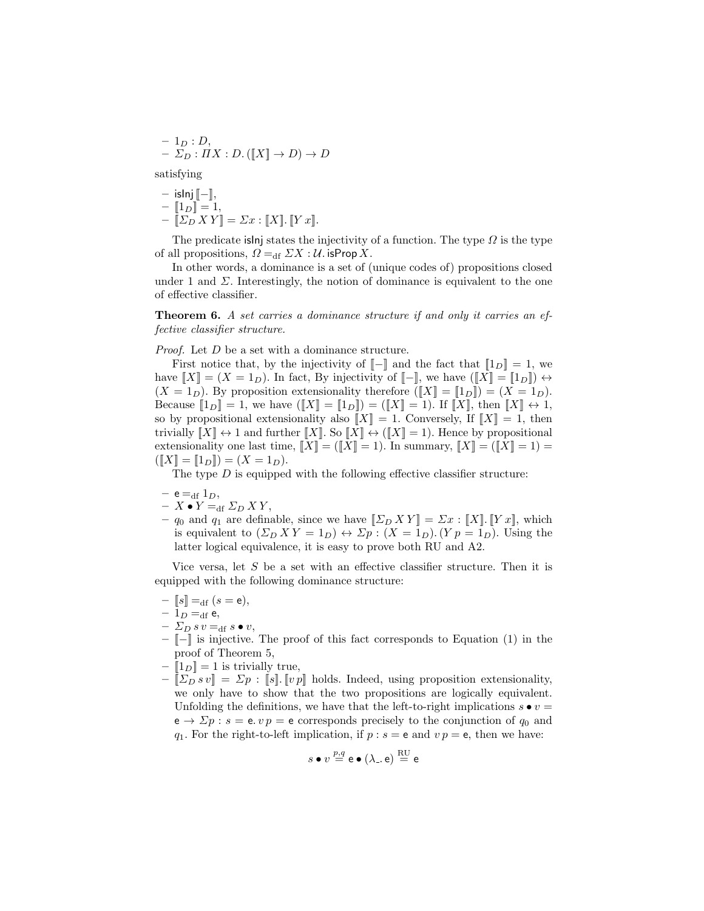$$
- 1_D : D,
$$
  

$$
- \Sigma_D : \Pi X : D. ([[X]] \to D) \to D
$$

satisfying

- islnj 
$$
[-]
$$
,  
\n-  $[1_D] = 1$ ,  
\n-  $[Z_D X Y] = \Sigma x : [X] \cdot [Y x].$ 

The predicate islnj states the injectivity of a function. The type  $\Omega$  is the type of all propositions,  $\Omega =_{df} \Sigma X : U$ . isProp X.

In other words, a dominance is a set of (unique codes of) propositions closed under 1 and  $\Sigma$ . Interestingly, the notion of dominance is equivalent to the one of effective classifier.

Theorem 6. A set carries a dominance structure if and only it carries an effective classifier structure.

*Proof.* Let D be a set with a dominance structure.

First notice that, by the injectivity of  $\llbracket - \rrbracket$  and the fact that  $\llbracket 1_D \rrbracket = 1$ , we have  $[[X] = (X = 1_D)$ . In fact, By injectivity of  $[-]$ , we have  $([X] = [1_D]) \leftrightarrow$  $(X = 1_D)$ . By proposition extensionality therefore  $(\llbracket X \rrbracket = \llbracket 1_D \rrbracket) = (X = 1_D)$ . Because  $[1_D] = 1$ , we have  $([X] = [1_D]) = ([X] = 1)$ . If  $[[X]$ , then  $[[X] \leftrightarrow 1$ , so by propositional extensionality also  $||X|| = 1$ . Conversely, If  $||X|| = 1$ , then trivially  $[[X]] \leftrightarrow 1$  and further  $[[X]]$ . So  $[[X]] \leftrightarrow ([[X]] = 1)$ . Hence by propositional extensionality one last time,  $[[X] = ([X] = 1)$ . In summary,  $[[X] = ([X] = 1) =$  $([X] = [1_D]) = (X = 1_D).$ 

The type  $D$  is equipped with the following effective classifier structure:

$$
- e =_{df} 1_D,
$$

- $X \bullet Y =_{\text{df}} \Sigma_D XY,$
- $q_0$  and  $q_1$  are definable, since we have  $[\![\Sigma_D X Y]\!] = \Sigma x : [\![X]\!]$ .  $[\![Y x]\!]$ , which is equivalent to  $(\Sigma_D XY = 1_D) \leftrightarrow \Sigma_p : (X = 1_D)$ .  $(Y_p = 1_p)$ . Using the latter logical equivalence, it is easy to prove both RU and A2.

Vice versa, let  $S$  be a set with an effective classifier structure. Then it is equipped with the following dominance structure:

- $-[s] =_{df} (s = e),$
- $-1_D =_{df} e$ ,
- $\Sigma_D s v =_{df} s \bullet v,$
- [[−]] is injective. The proof of this fact corresponds to Equation (1) in the proof of Theorem 5,
- $-[1_D] = 1$  is trivially true,
- $-[ \sum_{D} s v ] = \sum_{D} : [s] \cdot [v p]$  holds. Indeed, using proposition extensionality, we only have to show that the two propositions are logically equivalent. Unfolding the definitions, we have that the left-to-right implications  $s \bullet v =$  $e \rightarrow \Sigma p : s = e \cdot v p = e$  corresponds precisely to the conjunction of  $q_0$  and  $q_1$ . For the right-to-left implication, if  $p : s = e$  and  $v p = e$ , then we have:

$$
s \bullet v \stackrel{p,q}{=} \mathsf{e} \bullet (\lambda \mathsf{e}, \mathsf{e}) \stackrel{\mathrm{RU}}{=} \mathsf{e}
$$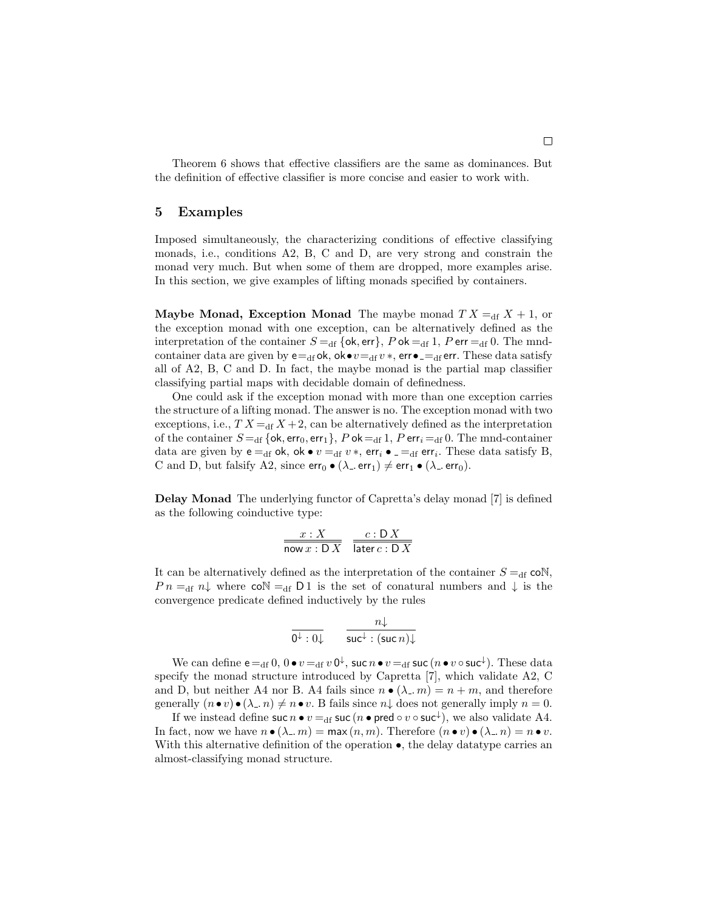Theorem 6 shows that effective classifiers are the same as dominances. But the definition of effective classifier is more concise and easier to work with.

#### 5 Examples

Imposed simultaneously, the characterizing conditions of effective classifying monads, i.e., conditions A2, B, C and D, are very strong and constrain the monad very much. But when some of them are dropped, more examples arise. In this section, we give examples of lifting monads specified by containers.

**Maybe Monad, Exception Monad** The maybe monad  $TX = df X + 1$ , or the exception monad with one exception, can be alternatively defined as the interpretation of the container  $S =$ <sub>df</sub> {ok, err}, P ok = df 1, P err = df</sub> 0. The mndcontainer data are given by  $e =_{df} ok$ , ok $\bullet v =_{df} v *$ , err $\bullet =_{df} err$ . These data satisfy all of A2, B, C and D. In fact, the maybe monad is the partial map classifier classifying partial maps with decidable domain of definedness.

One could ask if the exception monad with more than one exception carries the structure of a lifting monad. The answer is no. The exception monad with two exceptions, i.e.,  $TX =_{df} X + 2$ , can be alternatively defined as the interpretation of the container  $S =_{df} \{ok, err_0, err_1\}, Pok =_{df} 1, Perr_i =_{df} 0$ . The mnd-container data are given by  $e =_{df} ok$ , ok  $\bullet v =_{df} v *$ ,  $err_i \bullet =_{df} err_i$ . These data satisfy B, C and D, but falsify A2, since  $err_0 \bullet (\lambda_- \, err_1) \neq err_1 \bullet (\lambda_- \, err_0)$ .

Delay Monad The underlying functor of Capretta's delay monad [7] is defined as the following coinductive type:

$$
\frac{x:X}{\text{now } x:DX} \quad \frac{c:DX}{\text{later } c:DX}
$$

It can be alternatively defined as the interpretation of the container  $S =_{df} \text{coN}$ ,  $P n =_{df} n \downarrow$  where  $\mathsf{co} \mathbb{N} =_{df} \mathsf{D} 1$  is the set of conatural numbers and  $\downarrow$  is the convergence predicate defined inductively by the rules

$$
\frac{n\downarrow}{0^{\downarrow}:0\downarrow} \qquad \frac{n\downarrow}{\mathsf{suc}^{\downarrow}:(\mathsf{suc}\,n)\downarrow}
$$

We can define  ${\sf e}=_{\rm df} 0,$   $0\bullet v=_{\rm df} v\, {\sf 0}^\downarrow,$  suc  $n\bullet v=_{\rm df}$  suc  $(n\bullet v\circ {\sf suc}^\downarrow).$  These data specify the monad structure introduced by Capretta [7], which validate A2, C and D, but neither A4 nor B. A4 fails since  $n \bullet (\lambda_m) = n + m$ , and therefore generally  $(n \bullet v) \bullet (\lambda_n, n) \neq n \bullet v$ . B fails since  $n \downarrow$  does not generally imply  $n = 0$ .

If we instead define suc  $n \bullet v =_{\text{df}} \mathsf{succ}(n \bullet \mathsf{pred} \circ v \circ \mathsf{suc}^{\downarrow}),$  we also validate A4. In fact, now we have  $n \bullet (\lambda_-, m) = \max(n, m)$ . Therefore  $(n \bullet v) \bullet (\lambda_-, n) = n \bullet v$ . With this alternative definition of the operation  $\bullet$ , the delay datatype carries an almost-classifying monad structure.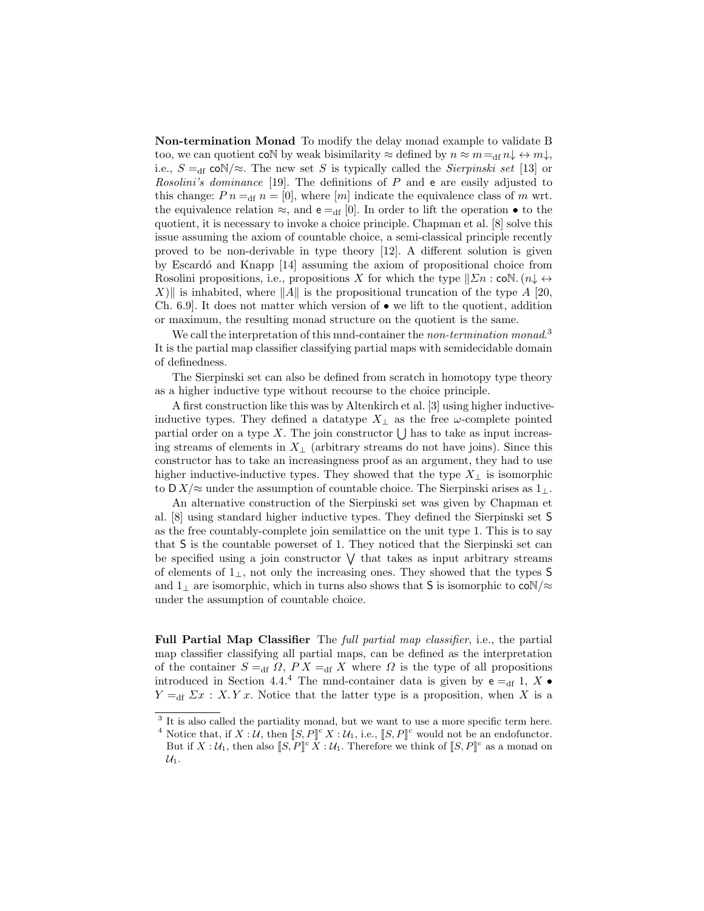Non-termination Monad To modify the delay monad example to validate B too, we can quotient coN by weak bisimilarity  $\approx$  defined by  $n \approx m = \frac{d}{dt} n \downarrow \leftrightarrow m \downarrow$ , i.e.,  $S =_{df} \text{coN}/\approx$ . The new set S is typically called the Sierpinski set [13] or Rosolini's dominance [19]. The definitions of  $P$  and  $e$  are easily adjusted to this change:  $P n =_{df} n = [0]$ , where  $[m]$  indicate the equivalence class of m wrt. the equivalence relation  $\approx$ , and  $e =_{df} [0]$ . In order to lift the operation  $\bullet$  to the quotient, it is necessary to invoke a choice principle. Chapman et al. [8] solve this issue assuming the axiom of countable choice, a semi-classical principle recently proved to be non-derivable in type theory [12]. A different solution is given by Escardó and Knapp [14] assuming the axiom of propositional choice from Rosolini propositions, i.e., propositions X for which the type  $\|\Sigma n : \text{coN.}(n) \leftrightarrow$ X) is inhabited, where  $||A||$  is the propositional truncation of the type A [20, Ch. 6.9. It does not matter which version of  $\bullet$  we lift to the quotient, addition or maximum, the resulting monad structure on the quotient is the same.

We call the interpretation of this mnd-container the non-termination monad.<sup>3</sup> It is the partial map classifier classifying partial maps with semidecidable domain of definedness.

The Sierpinski set can also be defined from scratch in homotopy type theory as a higher inductive type without recourse to the choice principle.

A first construction like this was by Altenkirch et al. [3] using higher inductiveinductive types. They defined a datatype  $X_{\perp}$  as the free  $\omega$ -complete pointed partial order on a type X. The join constructor  $\bigcup$  has to take as input increasing streams of elements in  $X_{\perp}$  (arbitrary streams do not have joins). Since this constructor has to take an increasingness proof as an argument, they had to use higher inductive-inductive types. They showed that the type  $X_{\perp}$  is isomorphic to D  $X/\approx$  under the assumption of countable choice. The Sierpinski arises as  $1_{\perp}$ .

An alternative construction of the Sierpinski set was given by Chapman et al. [8] using standard higher inductive types. They defined the Sierpinski set S as the free countably-complete join semilattice on the unit type 1. This is to say that S is the countable powerset of 1. They noticed that the Sierpinski set can be specified using a join constructor  $\vee$  that takes as input arbitrary streams of elements of 1⊥, not only the increasing ones. They showed that the types S and 1<sub>⊥</sub> are isomorphic, which in turns also shows that S is isomorphic to  $\text{coN}/\approx$ under the assumption of countable choice.

Full Partial Map Classifier The full partial map classifier, i.e., the partial map classifier classifying all partial maps, can be defined as the interpretation of the container  $S =_{df} \Omega$ ,  $PX =_{df} X$  where  $\Omega$  is the type of all propositions introduced in Section 4.4.<sup>4</sup> The mnd-container data is given by  $e =_{df} 1$ ,  $X \bullet$  $Y =_{df} \Sigma x : X. Y x.$  Notice that the latter type is a proposition, when X is a

<sup>&</sup>lt;sup>3</sup> It is also called the partiality monad, but we want to use a more specific term here.

<sup>&</sup>lt;sup>4</sup> Notice that, if  $X : U$ , then  $[[S, P]]^{\mathbb{C}} X : U_1$ , i.e.,  $[[S, P]]^{\mathbb{C}}$  would not be an endofunctor. But if  $X : \mathcal{U}_1$ , then also  $[[S, P]]^c X : \mathcal{U}_1$ . Therefore we think of  $[[S, P]]^c$  as a monad on  $\mathcal{U}_1$ .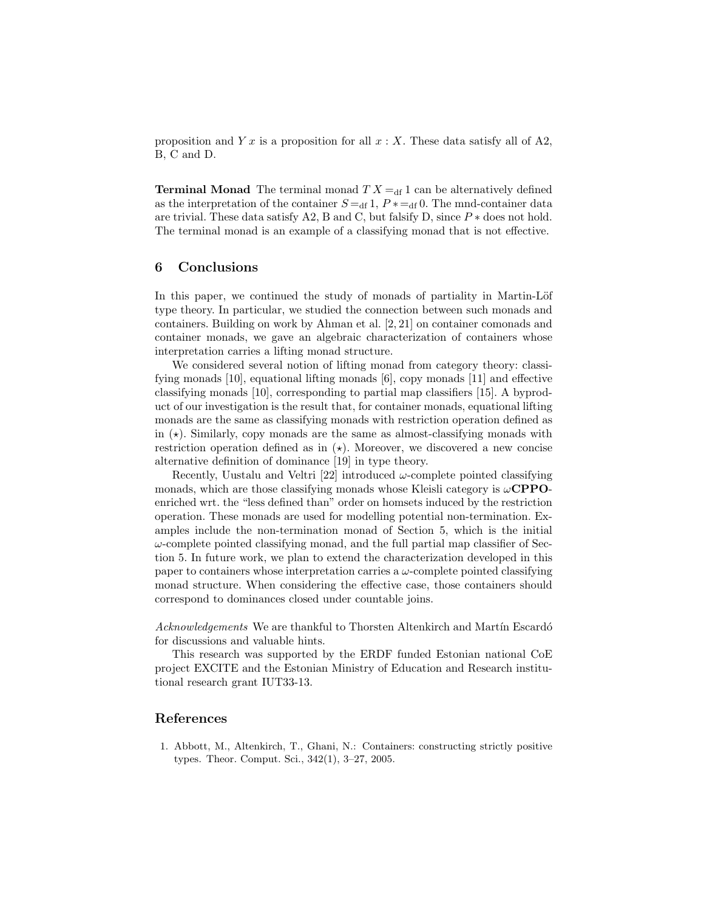proposition and Y x is a proposition for all  $x : X$ . These data satisfy all of A2, B, C and D.

**Terminal Monad** The terminal monad  $TX = df 1$  can be alternatively defined as the interpretation of the container  $S = df 1$ ,  $P * = df 0$ . The mnd-container data are trivial. These data satisfy A2, B and C, but falsify D, since  $P *$  does not hold. The terminal monad is an example of a classifying monad that is not effective.

## 6 Conclusions

In this paper, we continued the study of monads of partiality in Martin-Löf type theory. In particular, we studied the connection between such monads and containers. Building on work by Ahman et al. [2, 21] on container comonads and container monads, we gave an algebraic characterization of containers whose interpretation carries a lifting monad structure.

We considered several notion of lifting monad from category theory: classifying monads [10], equational lifting monads [6], copy monads [11] and effective classifying monads [10], corresponding to partial map classifiers [15]. A byproduct of our investigation is the result that, for container monads, equational lifting monads are the same as classifying monads with restriction operation defined as in  $(\star)$ . Similarly, copy monads are the same as almost-classifying monads with restriction operation defined as in  $(\star)$ . Moreover, we discovered a new concise alternative definition of dominance [19] in type theory.

Recently, Uustalu and Veltri [22] introduced  $\omega$ -complete pointed classifying monads, which are those classifying monads whose Kleisli category is  $\omega$ **CPPO**enriched wrt. the "less defined than" order on homsets induced by the restriction operation. These monads are used for modelling potential non-termination. Examples include the non-termination monad of Section 5, which is the initial  $\omega$ -complete pointed classifying monad, and the full partial map classifier of Section 5. In future work, we plan to extend the characterization developed in this paper to containers whose interpretation carries a  $\omega$ -complete pointed classifying monad structure. When considering the effective case, those containers should correspond to dominances closed under countable joins.

Acknowledgements We are thankful to Thorsten Altenkirch and Martín Escardó for discussions and valuable hints.

This research was supported by the ERDF funded Estonian national CoE project EXCITE and the Estonian Ministry of Education and Research institutional research grant IUT33-13.

### References

1. Abbott, M., Altenkirch, T., Ghani, N.: Containers: constructing strictly positive types. Theor. Comput. Sci., 342(1), 3–27, 2005.